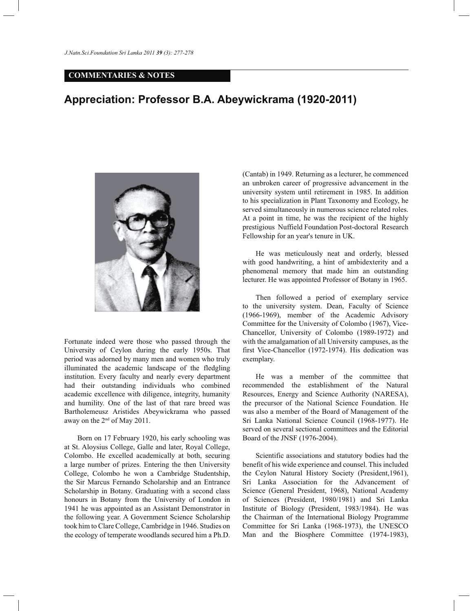## **COMMENTARIES & NOTES**

## **Appreciation: Professor B.A. Abeywickrama (1920-2011)**



Fortunate indeed were those who passed through the University of Ceylon during the early 1950s. That period was adorned by many men and women who truly illuminated the academic landscape of the fledgling institution. Every faculty and nearly every department had their outstanding individuals who combined academic excellence with diligence, integrity, humanity and humility. One of the last of that rare breed was Bartholemeusz Aristides Abeywickrama who passed away on the 2nd of May 2011.

 Born on 17 February 1920, his early schooling was at St. Aloysius College, Galle and later, Royal College, Colombo. He excelled academically at both, securing a large number of prizes. Entering the then University College, Colombo he won a Cambridge Studentship, the Sir Marcus Fernando Scholarship and an Entrance Scholarship in Botany. Graduating with a second class honours in Botany from the University of London in 1941 he was appointed as an Assistant Demonstrator in the following year. A Government Science Scholarship took him to Clare College, Cambridge in 1946. Studies on the ecology of temperate woodlands secured him a Ph.D.

(Cantab) in 1949. Returning as a lecturer, he commenced an unbroken career of progressive advancement in the university system until retirement in 1985. In addition to his specialization in Plant Taxonomy and Ecology, he served simultaneously in numerous science related roles. At a point in time, he was the recipient of the highly prestigious Nuffield Foundation Post-doctoral Research Fellowship for an year's tenure in UK.

 He was meticulously neat and orderly, blessed with good handwriting, a hint of ambidexterity and a phenomenal memory that made him an outstanding lecturer. He was appointed Professor of Botany in 1965.

 Then followed a period of exemplary service to the university system. Dean, Faculty of Science (1966-1969), member of the Academic Advisory Committee for the University of Colombo (1967), Vice-Chancellor, University of Colombo (1989-1972) and with the amalgamation of all University campuses, as the first Vice-Chancellor (1972-1974). His dedication was exemplary.

 He was a member of the committee that recommended the establishment of the Natural Resources, Energy and Science Authority (NARESA), the precursor of the National Science Foundation. He was also a member of the Board of Management of the Sri Lanka National Science Council (1968-1977). He served on several sectional committees and the Editorial Board of the JNSF (1976-2004).

 Scientific associations and statutory bodies had the benefit of his wide experience and counsel. This included the Ceylon Natural History Society (President,1961), Sri Lanka Association for the Advancement of Science (General President, 1968), National Academy of Sciences (President, 1980/1981) and Sri Lanka Institute of Biology (President, 1983/1984). He was the Chairman of the International Biology Programme Committee for Sri Lanka (1968-1973), the UNESCO Man and the Biosphere Committee (1974-1983),